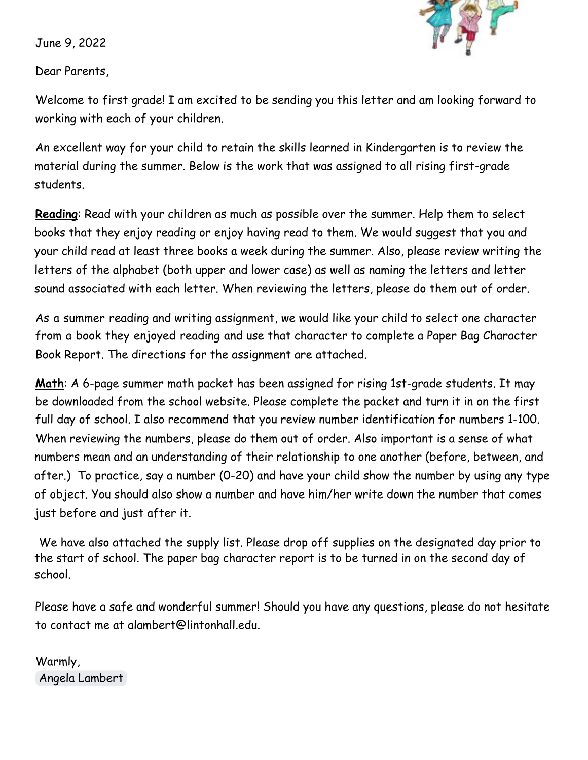June 9, 2022



Dear Parents,

Welcome to first grade! I am excited to be sending you this letter and am looking forward to working with each of your children.

An excellent way for your child to retain the skills learned in Kindergarten is to review the material during the summer. Below is the work that was assigned to all rising first-grade students.

**Reading**: Read with your children as much as possible over the summer. Help them to select books that they enjoy reading or enjoy having read to them. We would suggest that you and your child read at least three books a week during the summer. Also, please review writing the letters of the alphabet (both upper and lower case) as well as naming the letters and letter sound associated with each letter. When reviewing the letters, please do them out of order.

As a summer reading and writing assignment, we would like your child to select one character from a book they enjoyed reading and use that character to complete a Paper Bag Character Book Report. The directions for the assignment are attached.

**Math**: A 6-page summer math packet has been assigned for rising 1st-grade students. It may be downloaded from the school website. Please complete the packet and turn it in on the first full day of school. I also recommend that you review number identification for numbers 1-100. When reviewing the numbers, please do them out of order. Also important is a sense of what numbers mean and an understanding of their relationship to one another (before, between, and after.) To practice, say a number (0-20) and have your child show the number by using any type of object. You should also show a number and have him/her write down the number that comes just before and just after it.

We have also attached the supply list. Please drop off supplies on the designated day prior to the start of school. The paper bag character report is to be turned in on the second day of school.

Please have a safe and wonderful summer! Should you have any questions, please do not hesitate to contact me at alambert@lintonhall.edu.

Warmly, Angela Lambert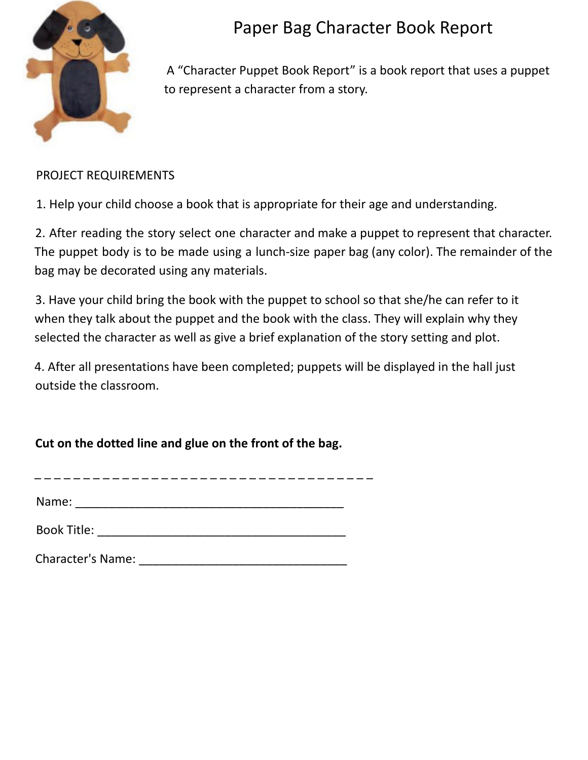

## Paper Bag Character Book Report

A "Character Puppet Book Report" is a book report that uses a puppet to represent a character from a story.

## PROJECT REQUIREMENTS

1. Help your child choose a book that is appropriate for their age and understanding.

2. After reading the story select one character and make a puppet to represent that character. The puppet body is to be made using a lunch-size paper bag (any color). The remainder of the bag may be decorated using any materials.

3. Have your child bring the book with the puppet to school so that she/he can refer to it when they talk about the puppet and the book with the class. They will explain why they selected the character as well as give a brief explanation of the story setting and plot.

4. After all presentations have been completed; puppets will be displayed in the hall just outside the classroom.

**Cut on the dotted line and glue on the front of the bag.**

\_ \_ \_ \_ \_ \_ \_ \_ \_ \_ \_ \_ \_ \_ \_ \_ \_ \_ \_ \_ \_ \_ \_ \_ \_ \_ \_ \_ \_ \_ \_ \_ \_ \_ \_

| Name: |  |  |
|-------|--|--|
|       |  |  |

Book Title: \_\_\_\_\_\_\_\_\_\_\_\_\_\_\_\_\_\_\_\_\_\_\_\_\_\_\_\_\_\_\_\_\_\_\_\_\_

Character's Name: \_\_\_\_\_\_\_\_\_\_\_\_\_\_\_\_\_\_\_\_\_\_\_\_\_\_\_\_\_\_\_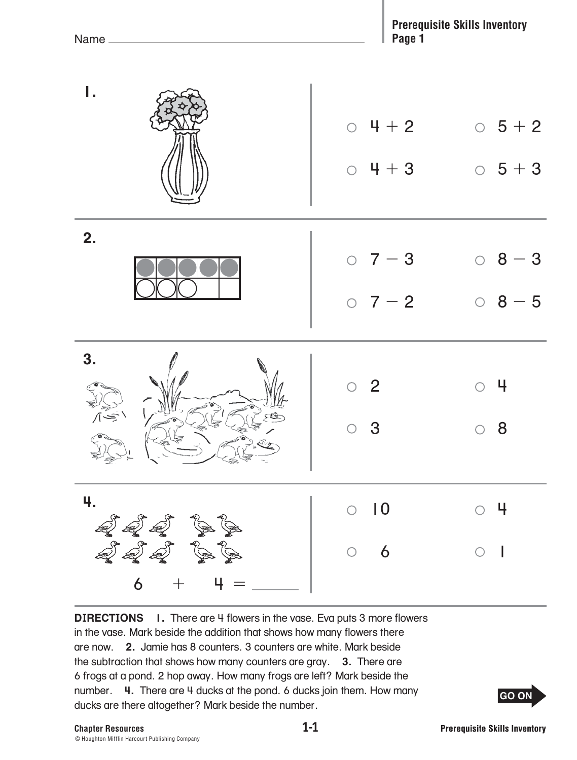| ۱.                                                | $0 + 2$<br>$0 + 3$                                 | $0\;5+2$<br>$\circ$ 5 + 3                 |
|---------------------------------------------------|----------------------------------------------------|-------------------------------------------|
| 2.                                                | $0 \t7 - 3$<br>$0 \t7 - 2$                         | $08 - 3$<br>$08 - 5$                      |
| 3.<br>$\sqrt{\frac{2}{\sqrt{2}}}\sqrt{2}$         | $\circ$ 2<br>$\overline{\mathbf{3}}$<br>$\bigcirc$ | $\circ$ 4<br>$\circ$ 8                    |
| 4.<br>222<br><i>222</i> BB<br>$+$ $ +$ $  -$<br>6 | $\circ$ 10<br>6<br>$\bigcirc$                      | $\circ$ 4<br>$\bigcirc$<br>$\blacksquare$ |

**DIRECTIONS** 1. There are 4 flowers in the vase. Eva puts 3 more flowers in the vase. Mark beside the addition that shows how many flowers there are now. **2.** Jamie has 8 counters. 3 counters are white. Mark beside the subtraction that shows how many counters are gray. **3.** There are 6 frogs at a pond. 2 hop away. How many frogs are left? Mark beside the number. **4.** There are 4 ducks at the pond. 6 ducks join them. How many ducks are there altogether? Mark beside the number.

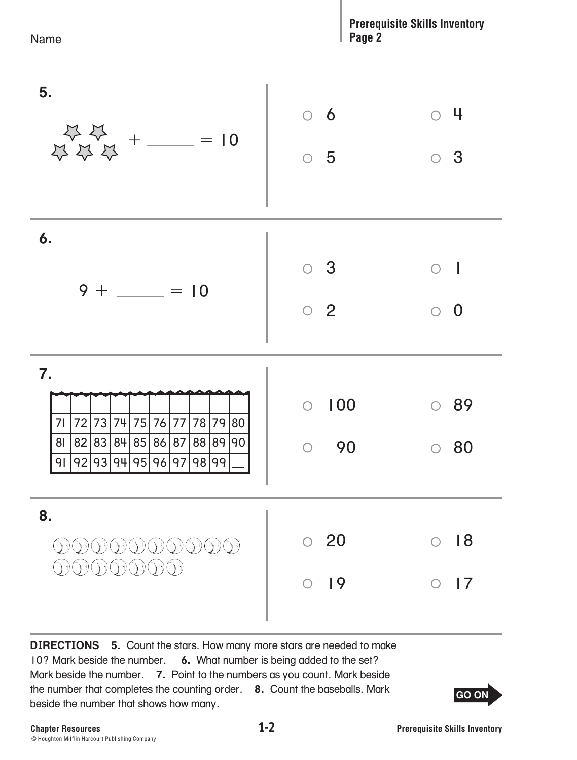| Name_                                                                                                                                                                                              | Page 2                          | <b>Prerequisite Skills Inventory</b> |
|----------------------------------------------------------------------------------------------------------------------------------------------------------------------------------------------------|---------------------------------|--------------------------------------|
| 5.                                                                                                                                                                                                 | 6<br>$\bigcirc$                 | 4                                    |
| $\begin{array}{c} \begin{array}{c} \sqrt{3} \end{array} \begin{array}{c} \sqrt{3} \\ \sqrt{3} \end{array} \begin{array}{c} \sqrt{2} \\ \sqrt{3} \end{array} + \frac{1}{\sqrt{2}} \end{array} = 10$ | $\bigcirc$<br>5                 | 3<br>$\bigcirc$                      |
| 6.                                                                                                                                                                                                 | 3<br>$\bigcirc$                 | $\bigcirc$                           |
| $9 + \_ = 10$                                                                                                                                                                                      | $\overline{2}$<br>$\bigcirc$    | $\overline{0}$<br>$\bigcirc$         |
| 7.<br>72 73<br>74 75 76 77<br>78 79<br>80<br>71<br>82 83 84 85 86 87 88 89 90<br>81                                                                                                                | 100<br>$\bigcirc$<br>$\circ$ 90 | 89<br>$\circ$ 80                     |
| 92 93 94 95 96 97 98 99<br>91                                                                                                                                                                      |                                 |                                      |
| 8.                                                                                                                                                                                                 | 20                              | 18                                   |
|                                                                                                                                                                                                    | 19                              | 17                                   |

**DIRECTIONS 5.** Count the stars. How many more stars are needed to make 10? Mark beside the number. **6.** What number is being added to the set? Mark beside the number. **7.** Point to the numbers as you count. Mark beside the number that completes the counting order. **8.** Count the baseballs. Mark beside the number that shows how many.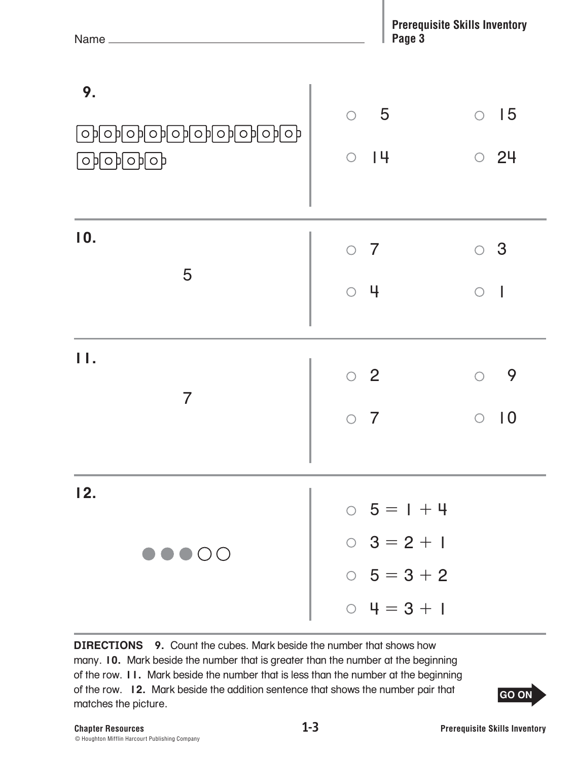| Name                                                                                    | Page 3                                                                 | <b>Prerequisite Skills Inventory</b> |
|-----------------------------------------------------------------------------------------|------------------------------------------------------------------------|--------------------------------------|
| 9.<br><u>कानगरनकाकाकाकाकक</u><br>$\bigcirc$ $\bigcirc$ $\bigcirc$ $\bigcirc$ $\bigcirc$ | 5<br>$\bigcirc$<br>14<br>$\bigcirc$                                    | 15<br>$\bigcirc$<br>24<br>$\bigcirc$ |
| 10.<br>5                                                                                | $\circ$ 7<br>$\circ$ 4                                                 | 3<br>0<br>$\bigcirc$                 |
| $\mathbf{H}$ .<br>$\overline{7}$                                                        | $\circ$ 2<br>7                                                         | 9<br>$\bigcirc$<br>10<br>◯           |
| 12.<br>$\bullet\bullet\bullet\circ\circ$                                                | $0 5 = 1 + 4$<br>$0 \quad 3 = 2 + 1$<br>$0 5 = 3 + 2$<br>$0 4 = 3 + 1$ |                                      |

**DIRECTIONS 9.** Count the cubes. Mark beside the number that shows how many. **10.** Mark beside the number that is greater than the number at the beginning of the row. **11.** Mark beside the number that is less than the number at the beginning of the row. **12.** Mark beside the addition sentence that shows the number pair that matches the picture.

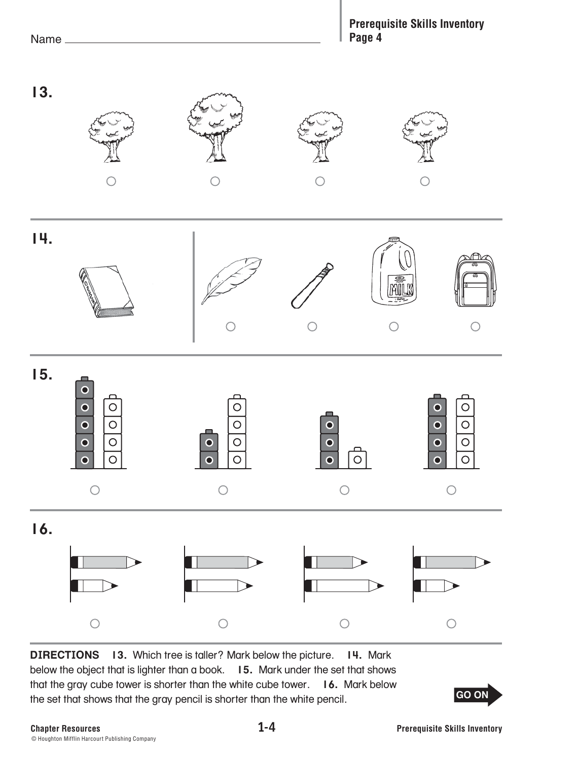## Pane 4 **Page 4**



**DIRECTIONS 13.** Which tree is taller? Mark below the picture. **14.** Mark below the object that is lighter than a book. **15.** Mark under the set that shows that the gray cube tower is shorter than the white cube tower. **16.** Mark below the set that shows that the gray pencil is shorter than the white pencil.

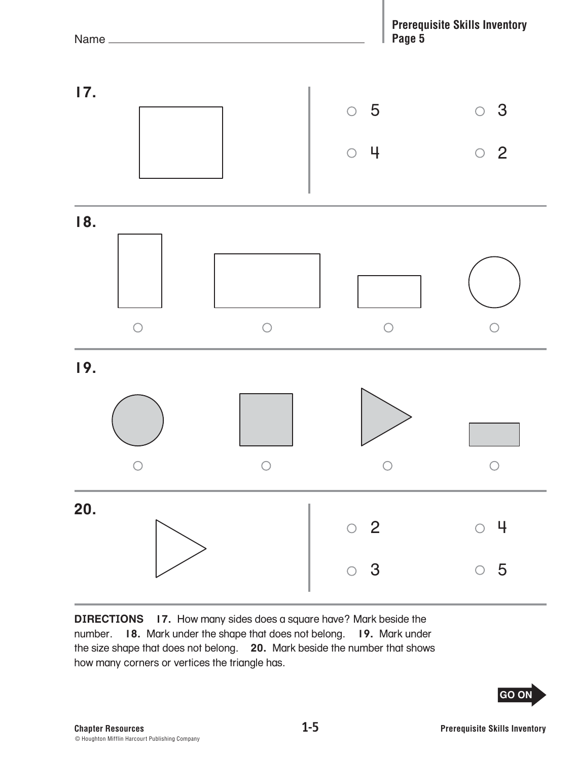

**DIRECTIONS 17.** How many sides does a square have? Mark beside the number. **18.** Mark under the shape that does not belong. **19.** Mark under the size shape that does not belong. **20.** Mark beside the number that shows how many corners or vertices the triangle has.